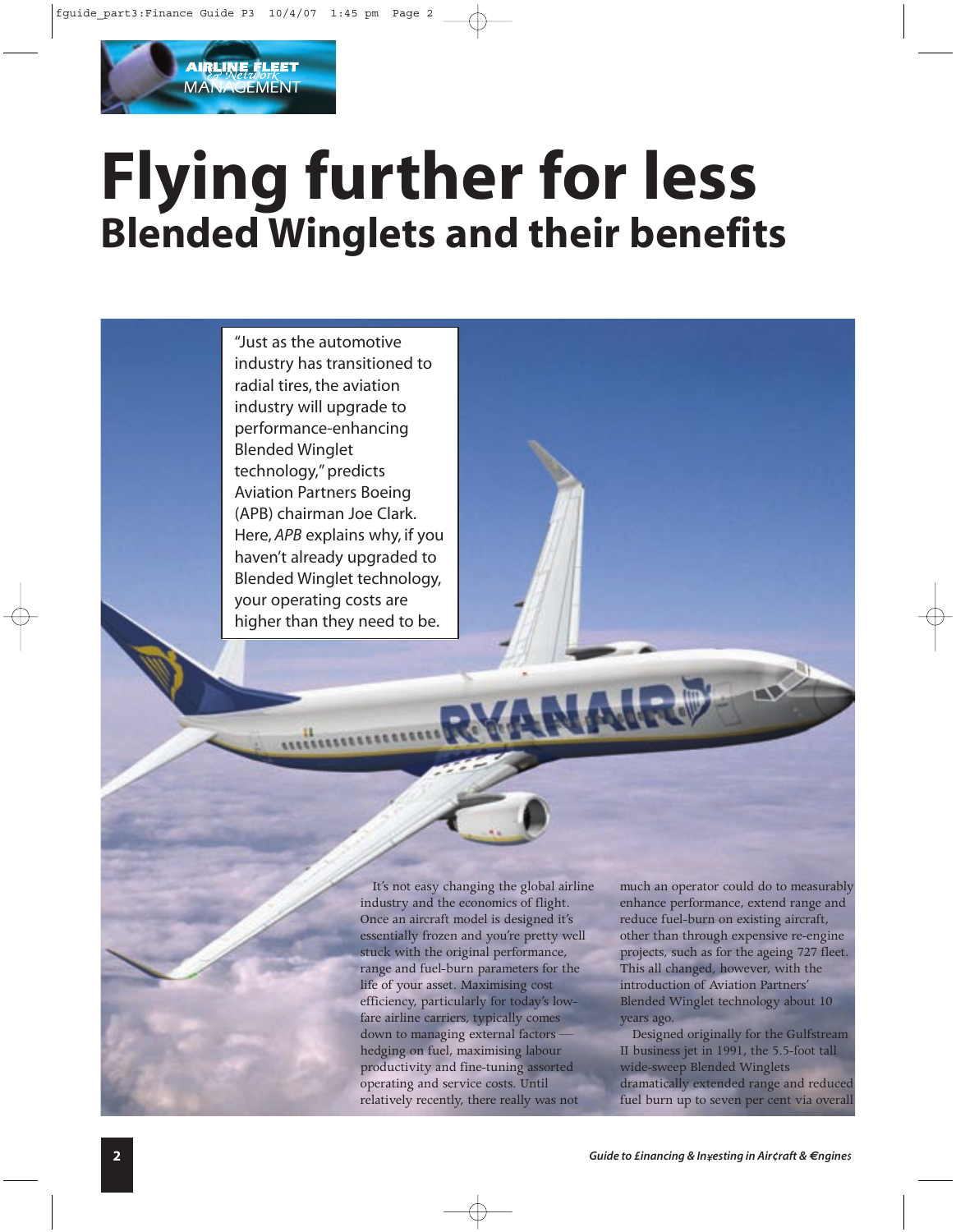# **Flying further for less Blended Winglets and their benefits**

"Just as the automotive industry has transitioned to radial tires, the aviation industry will upgrade to performance-enhancing Blended Winglet technology," predicts Aviation Partners Boeing (APB) chairman Joe Clark. Here, *APB* explains why, if you haven't already upgraded to Blended Winglet technology, your operating costs are higher than they need to be.

**AIRLINE FLEET MANAGEMENT** 

> It's not easy changing the global airline industry and the economics of flight. Once an aircraft model is designed it's essentially frozen and you're pretty well stuck with the original performance, range and fuel-burn parameters for the life of your asset. Maximising cost efficiency, particularly for today's lowfare airline carriers, typically comes down to managing external factors hedging on fuel, maximising labour productivity and fine-tuning assorted operating and service costs. Until relatively recently, there really was not

much an operator could do to measurably enhance performance, extend range and reduce fuel-burn on existing aircraft, other than through expensive re-engine projects, such as for the ageing 727 fleet. This all changed, however, with the introduction of Aviation Partners' Blended Winglet technology about 10 years ago.

Designed originally for the Gulfstream II business jet in 1991, the 5.5-foot tall wide-sweep Blended Winglets dramatically extended range and reduced fuel burn up to seven per cent via overall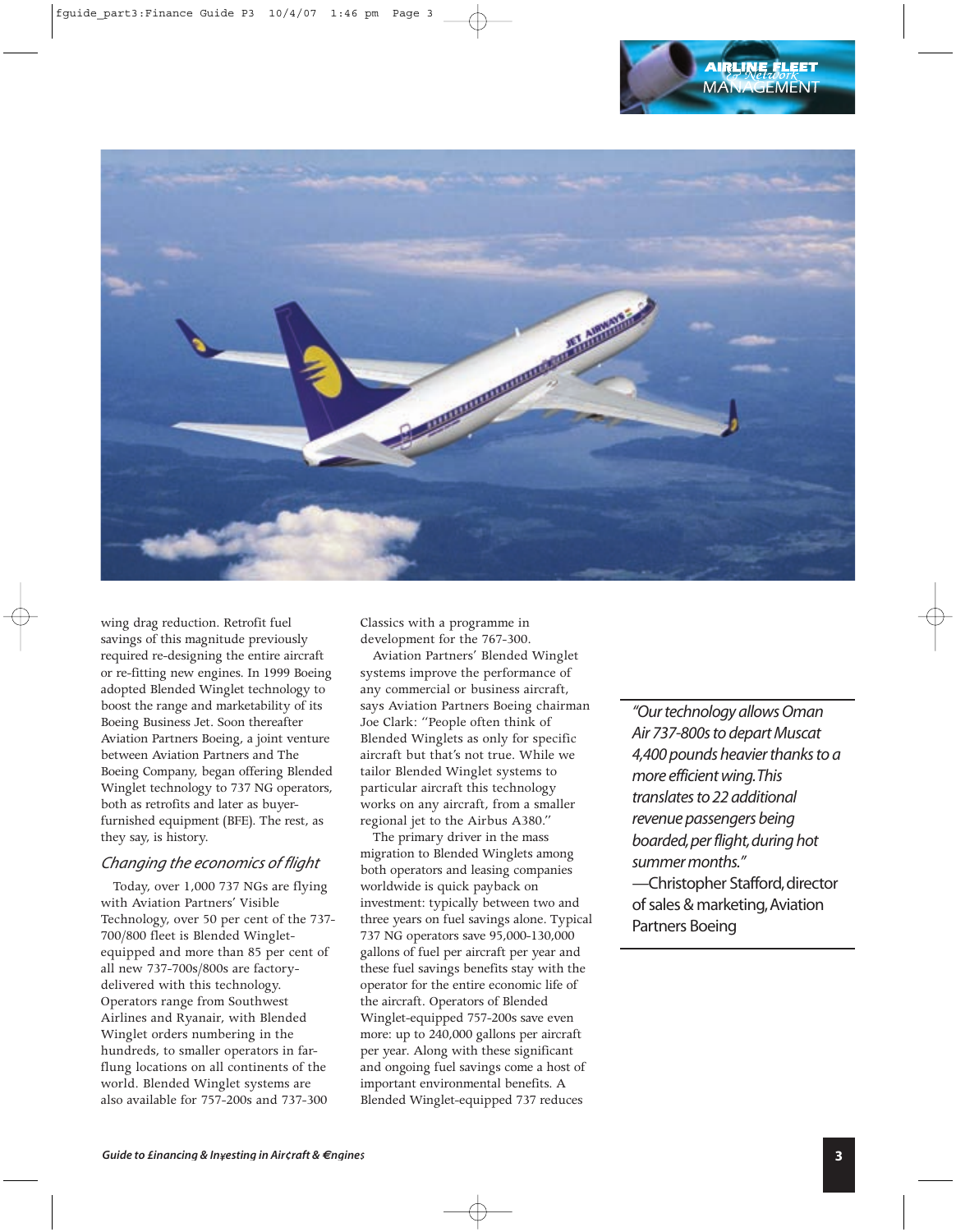

wing drag reduction. Retrofit fuel savings of this magnitude previously required re-designing the entire aircraft or re-fitting new engines. In 1999 Boeing adopted Blended Winglet technology to boost the range and marketability of its Boeing Business Jet. Soon thereafter Aviation Partners Boeing, a joint venture between Aviation Partners and The Boeing Company, began offering Blended Winglet technology to 737 NG operators, both as retrofits and later as buyerfurnished equipment (BFE). The rest, as they say, is history.

# *Changing the economics of flight*

Today, over 1,000 737 NGs are flying with Aviation Partners' Visible Technology, over 50 per cent of the 737- 700/800 fleet is Blended Wingletequipped and more than 85 per cent of all new 737-700s/800s are factorydelivered with this technology. Operators range from Southwest Airlines and Ryanair, with Blended Winglet orders numbering in the hundreds, to smaller operators in farflung locations on all continents of the world. Blended Winglet systems are also available for 757-200s and 737-300

Classics with a programme in development for the 767-300.

Aviation Partners' Blended Winglet systems improve the performance of any commercial or business aircraft, says Aviation Partners Boeing chairman Joe Clark: "People often think of Blended Winglets as only for specific aircraft but that's not true. While we tailor Blended Winglet systems to particular aircraft this technology works on any aircraft, from a smaller regional jet to the Airbus A380."

The primary driver in the mass migration to Blended Winglets among both operators and leasing companies worldwide is quick payback on investment: typically between two and three years on fuel savings alone. Typical 737 NG operators save 95,000-130,000 gallons of fuel per aircraft per year and these fuel savings benefits stay with the operator for the entire economic life of the aircraft. Operators of Blended Winglet-equipped 757-200s save even more: up to 240,000 gallons per aircraft per year. Along with these significant and ongoing fuel savings come a host of important environmental benefits. A Blended Winglet-equipped 737 reduces

*"Our technology allows Oman Air 737-800s to depart Muscat 4,400 pounds heavier thanks to a more efficient wing.This translates to 22 additional revenue passengers being boarded,per flight,during hot summer months."* -Christopher Stafford, director

of sales & marketing,Aviation Partners Boeing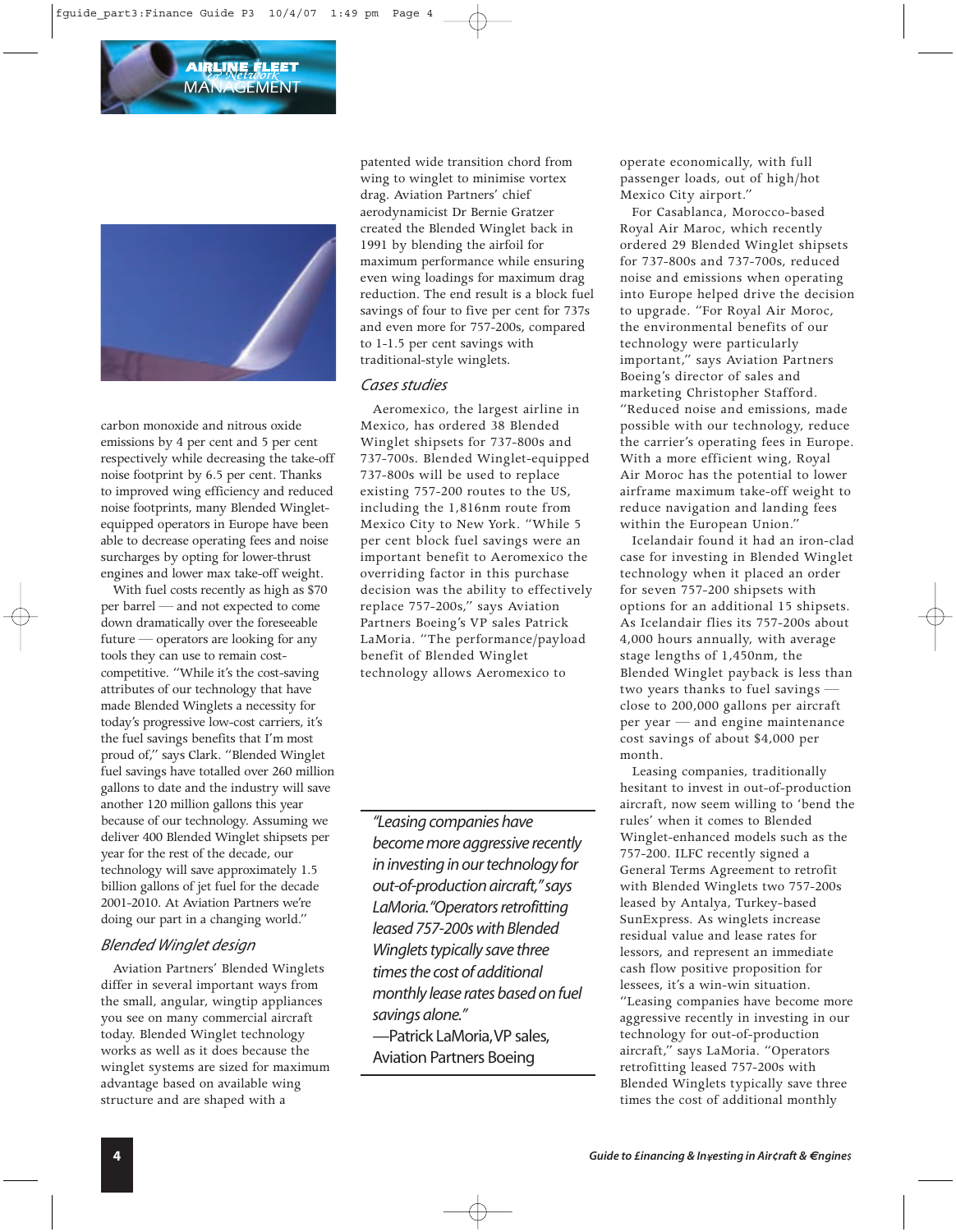

carbon monoxide and nitrous oxide emissions by 4 per cent and 5 per cent respectively while decreasing the take-off noise footprint by 6.5 per cent. Thanks to improved wing efficiency and reduced noise footprints, many Blended Wingletequipped operators in Europe have been able to decrease operating fees and noise surcharges by opting for lower-thrust engines and lower max take-off weight.

With fuel costs recently as high as \$70 per barrel — and not expected to come down dramatically over the foreseeable future — operators are looking for any tools they can use to remain costcompetitive. "While it's the cost-saving attributes of our technology that have made Blended Winglets a necessity for today's progressive low-cost carriers, it's the fuel savings benefits that I'm most proud of," says Clark. "Blended Winglet fuel savings have totalled over 260 million gallons to date and the industry will save another 120 million gallons this year because of our technology. Assuming we deliver 400 Blended Winglet shipsets per year for the rest of the decade, our technology will save approximately 1.5 billion gallons of jet fuel for the decade 2001-2010. At Aviation Partners we're doing our part in a changing world."

# *Blended Winglet design*

Aviation Partners' Blended Winglets differ in several important ways from the small, angular, wingtip appliances you see on many commercial aircraft today. Blended Winglet technology works as well as it does because the winglet systems are sized for maximum advantage based on available wing structure and are shaped with a

patented wide transition chord from wing to winglet to minimise vortex drag. Aviation Partners' chief aerodynamicist Dr Bernie Gratzer created the Blended Winglet back in 1991 by blending the airfoil for maximum performance while ensuring even wing loadings for maximum drag reduction. The end result is a block fuel savings of four to five per cent for 737s and even more for 757-200s, compared to 1-1.5 per cent savings with traditional-style winglets.

#### *Cases studies*

Aeromexico, the largest airline in Mexico, has ordered 38 Blended Winglet shipsets for 737-800s and 737-700s. Blended Winglet-equipped 737-800s will be used to replace existing 757-200 routes to the US, including the 1,816nm route from Mexico City to New York. "While 5 per cent block fuel savings were an important benefit to Aeromexico the overriding factor in this purchase decision was the ability to effectively replace 757-200s," says Aviation Partners Boeing's VP sales Patrick LaMoria. "The performance/payload benefit of Blended Winglet technology allows Aeromexico to

*"Leasing companies have become more aggressive recently in investing in our technology for out-of-production aircraft,"says LaMoria."Operators retrofitting leased 757-200s with Blended Winglets typically save three times the cost of additional monthly lease rates based on fuel savings alone."* —Patrick LaMoria,VP sales,

Aviation Partners Boeing

operate economically, with full passenger loads, out of high/hot Mexico City airport."

For Casablanca, Morocco-based Royal Air Maroc, which recently ordered 29 Blended Winglet shipsets for 737-800s and 737-700s, reduced noise and emissions when operating into Europe helped drive the decision to upgrade. "For Royal Air Moroc, the environmental benefits of our technology were particularly important," says Aviation Partners Boeing's director of sales and marketing Christopher Stafford. "Reduced noise and emissions, made possible with our technology, reduce the carrier's operating fees in Europe. With a more efficient wing, Royal Air Moroc has the potential to lower airframe maximum take-off weight to reduce navigation and landing fees within the European Union."

Icelandair found it had an iron-clad case for investing in Blended Winglet technology when it placed an order for seven 757-200 shipsets with options for an additional 15 shipsets. As Icelandair flies its 757-200s about 4,000 hours annually, with average stage lengths of 1,450nm, the Blended Winglet payback is less than two years thanks to fuel savings close to 200,000 gallons per aircraft per year — and engine maintenance cost savings of about \$4,000 per month.

Leasing companies, traditionally hesitant to invest in out-of-production aircraft, now seem willing to 'bend the rules' when it comes to Blended Winglet-enhanced models such as the 757-200. ILFC recently signed a General Terms Agreement to retrofit with Blended Winglets two 757-200s leased by Antalya, Turkey-based SunExpress. As winglets increase residual value and lease rates for lessors, and represent an immediate cash flow positive proposition for lessees, it's a win-win situation. "Leasing companies have become more aggressive recently in investing in our technology for out-of-production aircraft," says LaMoria. "Operators retrofitting leased 757-200s with Blended Winglets typically save three times the cost of additional monthly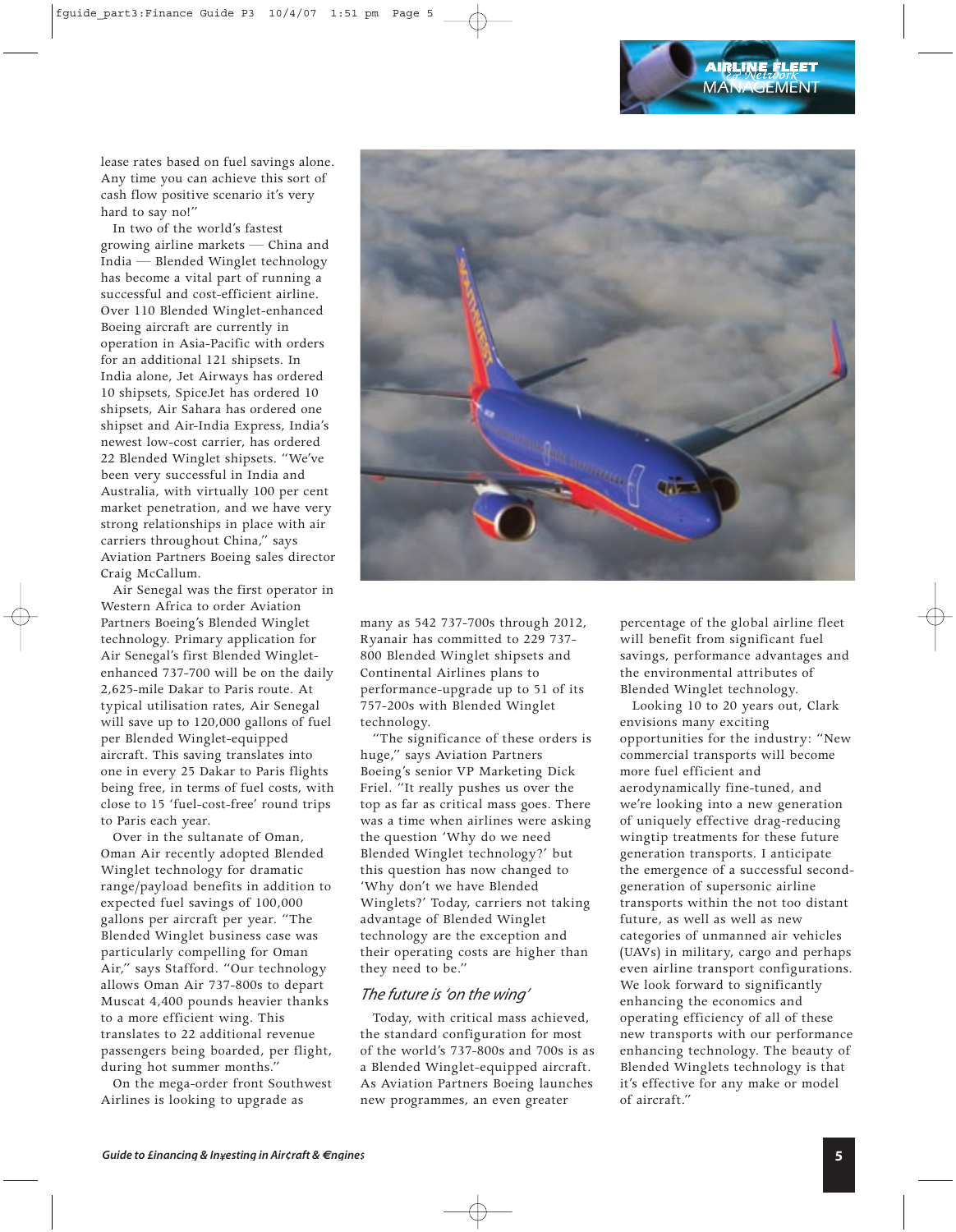lease rates based on fuel savings alone. Any time you can achieve this sort of cash flow positive scenario it's very hard to say no!"

In two of the world's fastest growing airline markets — China and India — Blended Winglet technology has become a vital part of running a successful and cost-efficient airline. Over 110 Blended Winglet-enhanced Boeing aircraft are currently in operation in Asia-Pacific with orders for an additional 121 shipsets. In India alone, Jet Airways has ordered 10 shipsets, SpiceJet has ordered 10 shipsets, Air Sahara has ordered one shipset and Air-India Express, India's newest low-cost carrier, has ordered 22 Blended Winglet shipsets. "We've been very successful in India and Australia, with virtually 100 per cent market penetration, and we have very strong relationships in place with air carriers throughout China," says Aviation Partners Boeing sales director Craig McCallum.

Air Senegal was the first operator in Western Africa to order Aviation Partners Boeing's Blended Winglet technology. Primary application for Air Senegal's first Blended Wingletenhanced 737-700 will be on the daily 2,625-mile Dakar to Paris route. At typical utilisation rates, Air Senegal will save up to 120,000 gallons of fuel per Blended Winglet-equipped aircraft. This saving translates into one in every 25 Dakar to Paris flights being free, in terms of fuel costs, with close to 15 'fuel-cost-free' round trips to Paris each year.

Over in the sultanate of Oman, Oman Air recently adopted Blended Winglet technology for dramatic range/payload benefits in addition to expected fuel savings of 100,000 gallons per aircraft per year. "The Blended Winglet business case was particularly compelling for Oman Air," says Stafford. "Our technology allows Oman Air 737-800s to depart Muscat 4,400 pounds heavier thanks to a more efficient wing. This translates to 22 additional revenue passengers being boarded, per flight, during hot summer months."

On the mega-order front Southwest Airlines is looking to upgrade as



many as 542 737-700s through 2012, Ryanair has committed to 229 737- 800 Blended Winglet shipsets and Continental Airlines plans to performance-upgrade up to 51 of its 757-200s with Blended Winglet technology.

"The significance of these orders is huge," says Aviation Partners Boeing's senior VP Marketing Dick Friel. "It really pushes us over the top as far as critical mass goes. There was a time when airlines were asking the question 'Why do we need Blended Winglet technology?' but this question has now changed to 'Why don't we have Blended Winglets?' Today, carriers not taking advantage of Blended Winglet technology are the exception and their operating costs are higher than they need to be."

#### *The future is 'on the wing'*

Today, with critical mass achieved, the standard configuration for most of the world's 737-800s and 700s is as a Blended Winglet-equipped aircraft. As Aviation Partners Boeing launches new programmes, an even greater

percentage of the global airline fleet will benefit from significant fuel savings, performance advantages and the environmental attributes of Blended Winglet technology.

Looking 10 to 20 years out, Clark envisions many exciting opportunities for the industry: "New commercial transports will become more fuel efficient and aerodynamically fine-tuned, and we're looking into a new generation of uniquely effective drag-reducing wingtip treatments for these future generation transports. I anticipate the emergence of a successful secondgeneration of supersonic airline transports within the not too distant future, as well as well as new categories of unmanned air vehicles (UAVs) in military, cargo and perhaps even airline transport configurations. We look forward to significantly enhancing the economics and operating efficiency of all of these new transports with our performance enhancing technology. The beauty of Blended Winglets technology is that it's effective for any make or model of aircraft."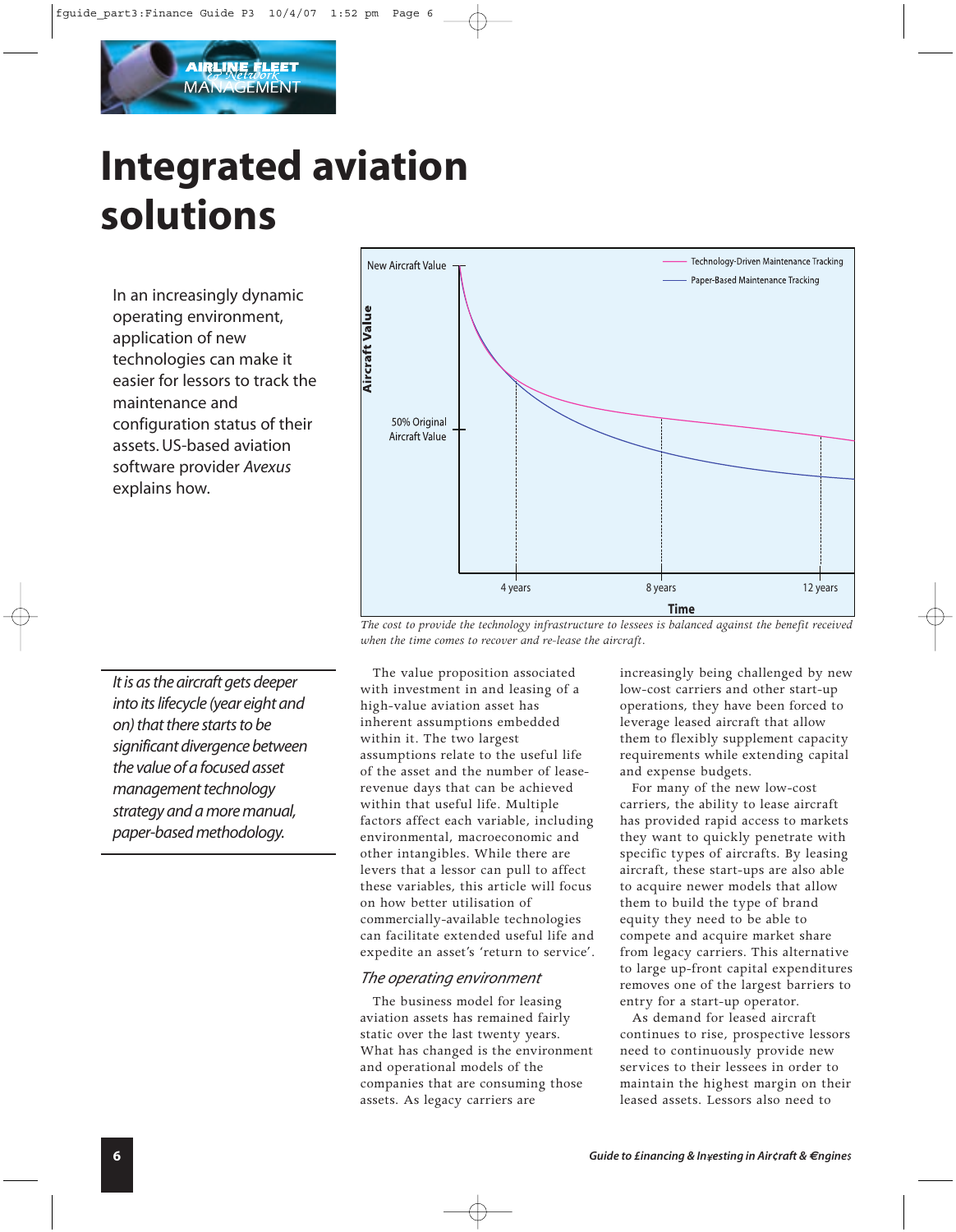

# **Integrated aviation solutions**

In an increasingly dynamic operating environment, application of new technologies can make it easier for lessors to track the maintenance and configuration status of their assets. US-based aviation software provider *Avexus* explains how.



*The cost to provide the technology infrastructure to lessees is balanced against the benefit received when the time comes to recover and re-lease the aircraft.*

*It is as the aircraft gets deeper into its lifecycle (year eight and on) that there starts to be significant divergence between the value of a focused asset management technology strategy and a more manual, paper-based methodology.*

The value proposition associated with investment in and leasing of a high-value aviation asset has inherent assumptions embedded within it. The two largest assumptions relate to the useful life of the asset and the number of leaserevenue days that can be achieved within that useful life. Multiple factors affect each variable, including environmental, macroeconomic and other intangibles. While there are levers that a lessor can pull to affect these variables, this article will focus on how better utilisation of commercially-available technologies can facilitate extended useful life and expedite an asset's 'return to service'.

# *The operating environment*

The business model for leasing aviation assets has remained fairly static over the last twenty years. What has changed is the environment and operational models of the companies that are consuming those assets. As legacy carriers are

increasingly being challenged by new low-cost carriers and other start-up operations, they have been forced to leverage leased aircraft that allow them to flexibly supplement capacity requirements while extending capital and expense budgets.

For many of the new low-cost carriers, the ability to lease aircraft has provided rapid access to markets they want to quickly penetrate with specific types of aircrafts. By leasing aircraft, these start-ups are also able to acquire newer models that allow them to build the type of brand equity they need to be able to compete and acquire market share from legacy carriers. This alternative to large up-front capital expenditures removes one of the largest barriers to entry for a start-up operator.

As demand for leased aircraft continues to rise, prospective lessors need to continuously provide new services to their lessees in order to maintain the highest margin on their leased assets. Lessors also need to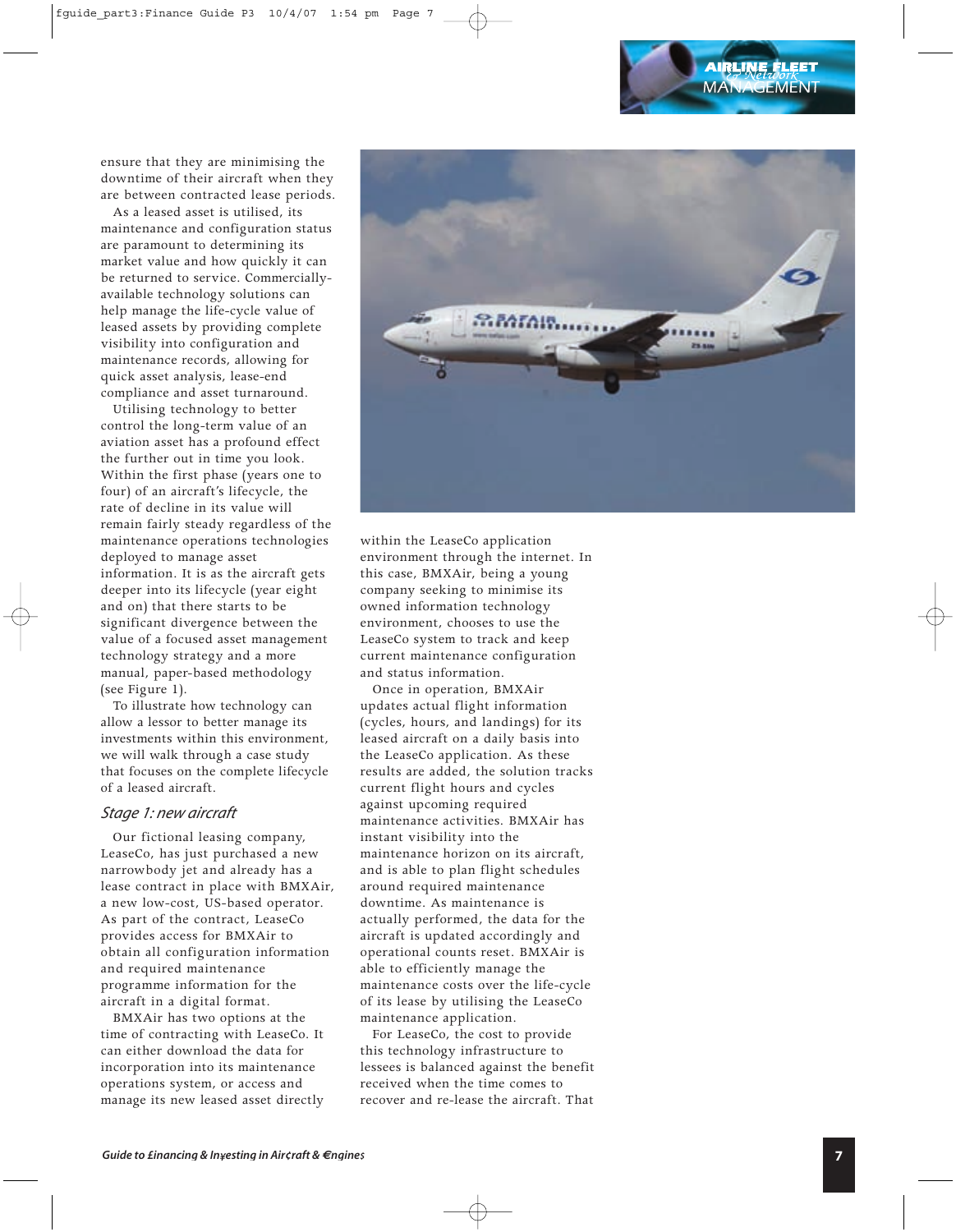ensure that they are minimising the downtime of their aircraft when they are between contracted lease periods.

As a leased asset is utilised, its maintenance and configuration status are paramount to determining its market value and how quickly it can be returned to service. Commerciallyavailable technology solutions can help manage the life-cycle value of leased assets by providing complete visibility into configuration and maintenance records, allowing for quick asset analysis, lease-end compliance and asset turnaround.

Utilising technology to better control the long-term value of an aviation asset has a profound effect the further out in time you look. Within the first phase (years one to four) of an aircraft's lifecycle, the rate of decline in its value will remain fairly steady regardless of the maintenance operations technologies deployed to manage asset information. It is as the aircraft gets deeper into its lifecycle (year eight and on) that there starts to be significant divergence between the value of a focused asset management technology strategy and a more manual, paper-based methodology (see Figure 1).

To illustrate how technology can allow a lessor to better manage its investments within this environment, we will walk through a case study that focuses on the complete lifecycle of a leased aircraft.

#### *Stage 1: new aircraft*

Our fictional leasing company, LeaseCo, has just purchased a new narrowbody jet and already has a lease contract in place with BMXAir, a new low-cost, US-based operator. As part of the contract, LeaseCo provides access for BMXAir to obtain all configuration information and required maintenance programme information for the aircraft in a digital format.

BMXAir has two options at the time of contracting with LeaseCo. It can either download the data for incorporation into its maintenance operations system, or access and manage its new leased asset directly



within the LeaseCo application environment through the internet. In this case, BMXAir, being a young company seeking to minimise its owned information technology environment, chooses to use the LeaseCo system to track and keep current maintenance configuration and status information.

Once in operation, BMXAir updates actual flight information (cycles, hours, and landings) for its leased aircraft on a daily basis into the LeaseCo application. As these results are added, the solution tracks current flight hours and cycles against upcoming required maintenance activities. BMXAir has instant visibility into the maintenance horizon on its aircraft, and is able to plan flight schedules around required maintenance downtime. As maintenance is actually performed, the data for the aircraft is updated accordingly and operational counts reset. BMXAir is able to efficiently manage the maintenance costs over the life-cycle of its lease by utilising the LeaseCo maintenance application.

For LeaseCo, the cost to provide this technology infrastructure to lessees is balanced against the benefit received when the time comes to recover and re-lease the aircraft. That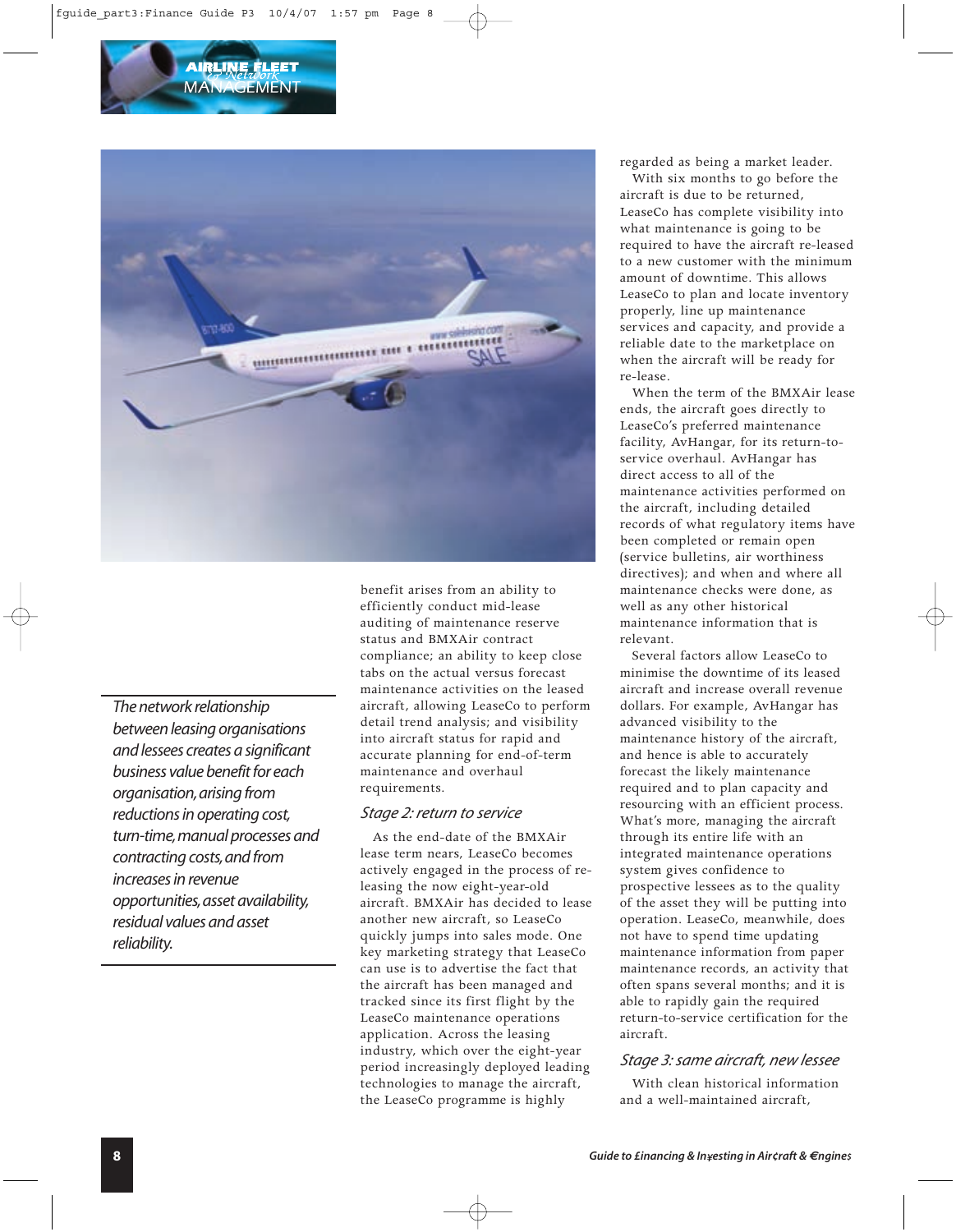



*The network relationship between leasing organisations and lessees creates a significant business value benefit for each organisation,arising from reductions in operating cost, turn-time,manual processes and contracting costs,and from increases in revenue opportunities,asset availability, residual values and asset reliability.*

benefit arises from an ability to efficiently conduct mid-lease auditing of maintenance reserve status and BMXAir contract compliance; an ability to keep close tabs on the actual versus forecast maintenance activities on the leased aircraft, allowing LeaseCo to perform detail trend analysis; and visibility into aircraft status for rapid and accurate planning for end-of-term maintenance and overhaul requirements.

#### *Stage 2: return to service*

As the end-date of the BMXAir lease term nears, LeaseCo becomes actively engaged in the process of releasing the now eight-year-old aircraft. BMXAir has decided to lease another new aircraft, so LeaseCo quickly jumps into sales mode. One key marketing strategy that LeaseCo can use is to advertise the fact that the aircraft has been managed and tracked since its first flight by the LeaseCo maintenance operations application. Across the leasing industry, which over the eight-year period increasingly deployed leading technologies to manage the aircraft, the LeaseCo programme is highly

regarded as being a market leader.

With six months to go before the aircraft is due to be returned, LeaseCo has complete visibility into what maintenance is going to be required to have the aircraft re-leased to a new customer with the minimum amount of downtime. This allows LeaseCo to plan and locate inventory properly, line up maintenance services and capacity, and provide a reliable date to the marketplace on when the aircraft will be ready for re-lease.

When the term of the BMXAir lease ends, the aircraft goes directly to LeaseCo's preferred maintenance facility, AvHangar, for its return-toservice overhaul. AvHangar has direct access to all of the maintenance activities performed on the aircraft, including detailed records of what regulatory items have been completed or remain open (service bulletins, air worthiness directives); and when and where all maintenance checks were done, as well as any other historical maintenance information that is relevant.

Several factors allow LeaseCo to minimise the downtime of its leased aircraft and increase overall revenue dollars. For example, AvHangar has advanced visibility to the maintenance history of the aircraft, and hence is able to accurately forecast the likely maintenance required and to plan capacity and resourcing with an efficient process. What's more, managing the aircraft through its entire life with an integrated maintenance operations system gives confidence to prospective lessees as to the quality of the asset they will be putting into operation. LeaseCo, meanwhile, does not have to spend time updating maintenance information from paper maintenance records, an activity that often spans several months; and it is able to rapidly gain the required return-to-service certification for the aircraft.

# *Stage 3: same aircraft, new lessee*

With clean historical information and a well-maintained aircraft,